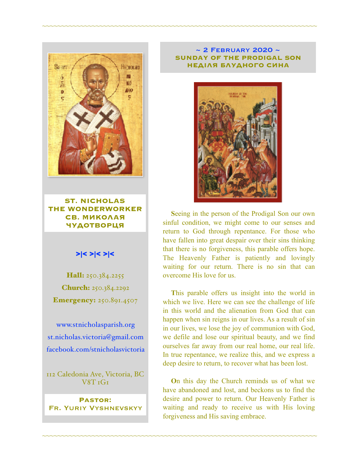

**ST. NICHOLAS THE WONDERWORKER СВ. МИКОЛАЯ ЧУДОТВОРЦЯ**

#### >|< >|< >|<

Hall: 250.384.2255 Church: 250.384.2292 **Emergency: 250.891.4507** 

[www.stnicholasparish.org](http://www.stnicholasparish.org) [st.nicholas.victoria@gmail.com](mailto:st.nicholas.victoria@gmail.com) [facebook.com/stnicholasvictoria](http://facebook.com/stnicholasvictoria)

112 Caledonia Ave, Victoria, BC V8T 1G1

**Pastor:**  Fr. Yuriy Vyshnevskyy

#### ~ 2 February 2020 ~ **SUNDAY OF THE PRODIGAL SON НЕДІЛЯ БЛУДНОГО СИНА**

~~~~~~~~~~~~~~~~~~~~~~~~~~~~~~~~~~~~~~~~~~~~~~~~~~~~~~~~~~~~~~~~~~~~~~~~



**S**eeing in the person of the Prodigal Son our own sinful condition, we might come to our senses and return to God through repentance. For those who have fallen into great despair over their sins thinking that there is no forgiveness, this parable offers hope. The Heavenly Father is patiently and lovingly waiting for our return. There is no sin that can overcome His love for us.

**T**his parable offers us insight into the world in which we live. Here we can see the challenge of life in this world and the alienation from God that can happen when sin reigns in our lives. As a result of sin in our lives, we lose the joy of communion with God, we defile and lose our spiritual beauty, and we find ourselves far away from our real home, our real life. In true repentance, we realize this, and we express a deep desire to return, to recover what has been lost.

**O**n this day the Church reminds us of what we have abandoned and lost, and beckons us to find the desire and power to return. Our Heavenly Father is waiting and ready to receive us with His loving forgiveness and His saving embrace.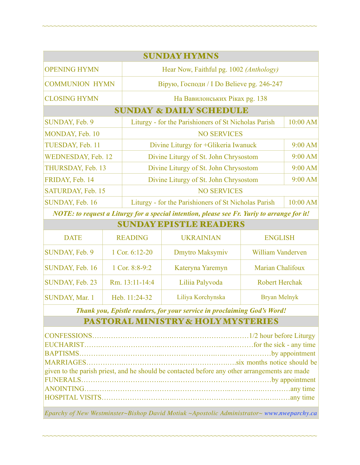| <b>SUNDAY HYMNS</b>                                                                                                                                                                                                                                                                                                    |                                                      |          |  |  |
|------------------------------------------------------------------------------------------------------------------------------------------------------------------------------------------------------------------------------------------------------------------------------------------------------------------------|------------------------------------------------------|----------|--|--|
| <b>OPENING HYMN</b>                                                                                                                                                                                                                                                                                                    | Hear Now, Faithful pg. 1002 (Anthology)              |          |  |  |
| <b>COMMUNION HYMN</b>                                                                                                                                                                                                                                                                                                  | Вірую, Господи / I Do Believe pg. 246-247            |          |  |  |
| <b>CLOSING HYMN</b>                                                                                                                                                                                                                                                                                                    | На Вавилонських Ріках рд. 138                        |          |  |  |
| <b>SUNDAY &amp; DAILY SCHEDULE</b>                                                                                                                                                                                                                                                                                     |                                                      |          |  |  |
| SUNDAY, Feb. 9                                                                                                                                                                                                                                                                                                         | Liturgy - for the Parishioners of St Nicholas Parish | 10:00 AM |  |  |
| MONDAY, Feb. 10                                                                                                                                                                                                                                                                                                        | <b>NO SERVICES</b>                                   |          |  |  |
| TUESDAY, Feb. 11                                                                                                                                                                                                                                                                                                       | Divine Liturgy for +Glikeria Iwanuck                 | 9:00 AM  |  |  |
| <b>WEDNESDAY, Feb. 12</b>                                                                                                                                                                                                                                                                                              | Divine Liturgy of St. John Chrysostom                | 9:00 AM  |  |  |
| THURSDAY, Feb. 13                                                                                                                                                                                                                                                                                                      | Divine Liturgy of St. John Chrysostom<br>9:00 AM     |          |  |  |
| FRIDAY, Feb. 14                                                                                                                                                                                                                                                                                                        | 9:00 AM<br>Divine Liturgy of St. John Chrysostom     |          |  |  |
| SATURDAY, Feb. 15                                                                                                                                                                                                                                                                                                      | <b>NO SERVICES</b>                                   |          |  |  |
| SUNDAY, Feb. 16                                                                                                                                                                                                                                                                                                        | Liturgy - for the Parishioners of St Nicholas Parish | 10:00 AM |  |  |
| $M\Omega T\overline{F}$ , is a consistent of $M$ and $\Gamma$ and $\Gamma$ are set of $M$ and $\Gamma$ and $\Gamma$ and $\Gamma$ and $\Gamma$ and $\Gamma$ and $\Gamma$ and $\Gamma$ and $\Gamma$ and $\Gamma$ and $\Gamma$ and $\Gamma$ and $\Gamma$ and $\Gamma$ and $\Gamma$ and $\Gamma$ and $\Gamma$ and $\Gamma$ |                                                      |          |  |  |

~~~~~~~~~~~~~~~~~~~~~~~~~~~~~~~~~~~~~~~~~~~~~~~~~~~~~~~~~~~~~~~~~~~~~~~~

*NOTE: to request a Liturgy for a special intention, please see Fr. Yuriy to arrange for it!* SUNDAY EPISTLE READERS

| SUNDAY EPISTLE READERS |                  |                        |                       |  |
|------------------------|------------------|------------------------|-----------------------|--|
| <b>DATE</b>            | <b>READING</b>   | <b>UKRAINIAN</b>       | <b>ENGLISH</b>        |  |
| SUNDAY, Feb. 9         | 1 Cor. 6:12-20   | <b>Dmytro Maksymiv</b> | William Vanderven     |  |
| SUNDAY, Feb. 16        | 1 Cor. $8:8-9:2$ | Kateryna Yaremyn       | Marian Chalifoux      |  |
| SUNDAY, Feb. 23        | Rm. 13:11-14:4   | Liliia Palyvoda        | <b>Robert Herchak</b> |  |
| <b>SUNDAY, Mar. 1</b>  | Heb. 11:24-32    | Liliya Korchynska      | <b>Bryan Melnyk</b>   |  |

*Thank you, Epistle readers, for your service in proclaiming God's Word!*

# PASTORAL MINISTRY & HOLY MYSTERIES

| given to the parish priest, and he should be contacted before any other arrangements are made |  |  |
|-----------------------------------------------------------------------------------------------|--|--|
|                                                                                               |  |  |
|                                                                                               |  |  |
|                                                                                               |  |  |
|                                                                                               |  |  |

*Eparchy of New Westminster~Bishop David Motiuk ~Apostolic Administrator~ [www.nweparchy.ca](http://www.nweparchy.ca)*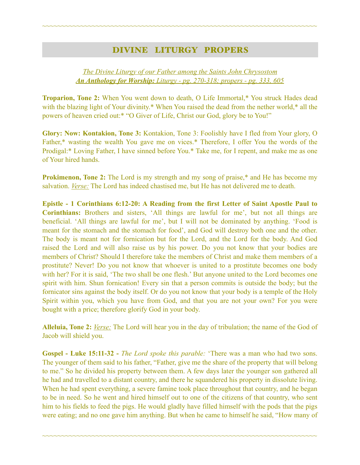## DIVINE LITURGY PROPERS

~~~~~~~~~~~~~~~~~~~~~~~~~~~~~~~~~~~~~~~~~~~~~~~~~~~~~~~~~~~~~~~~~~~~~~~~

### *The Divine Liturgy of our Father among the Saints John Chrysostom An Anthology for Worship: Liturgy - pg. 270-318; propers - pg. 333, 605*

**Troparion, Tone 2:** When You went down to death, O Life Immortal,\* You struck Hades dead with the blazing light of Your divinity.\* When You raised the dead from the nether world,\* all the powers of heaven cried out:\* "O Giver of Life, Christ our God, glory be to You!"

**Glory: Now: Kontakion, Tone 3:** Kontakion, Tone 3: Foolishly have I fled from Your glory, O Father,\* wasting the wealth You gave me on vices.\* Therefore, I offer You the words of the Prodigal:\* Loving Father, I have sinned before You.\* Take me, for I repent, and make me as one of Your hired hands.

**Prokimenon, Tone 2:** The Lord is my strength and my song of praise,\* and He has become my salvation. *Verse:* The Lord has indeed chastised me, but He has not delivered me to death.

**Epistle - 1 Corinthians 6:12-20: A Reading from the first Letter of Saint Apostle Paul to Corinthians:** Brothers and sisters, 'All things are lawful for me', but not all things are beneficial. 'All things are lawful for me', but I will not be dominated by anything. 'Food is meant for the stomach and the stomach for food', and God will destroy both one and the other. The body is meant not for fornication but for the Lord, and the Lord for the body. And God raised the Lord and will also raise us by his power. Do you not know that your bodies are members of Christ? Should I therefore take the members of Christ and make them members of a prostitute? Never! Do you not know that whoever is united to a prostitute becomes one body with her? For it is said, 'The two shall be one flesh.' But anyone united to the Lord becomes one spirit with him. Shun fornication! Every sin that a person commits is outside the body; but the fornicator sins against the body itself. Or do you not know that your body is a temple of the Holy Spirit within you, which you have from God, and that you are not your own? For you were bought with a price; therefore glorify God in your body.

**Alleluia, Tone 2:** *Verse:* The Lord will hear you in the day of tribulation; the name of the God of Jacob will shield you.

**Gospel - Luke 15:11-32 -** *The Lord spoke this parable:* 'There was a man who had two sons. The younger of them said to his father, "Father, give me the share of the property that will belong to me." So he divided his property between them. A few days later the younger son gathered all he had and travelled to a distant country, and there he squandered his property in dissolute living. When he had spent everything, a severe famine took place throughout that country, and he began to be in need. So he went and hired himself out to one of the citizens of that country, who sent him to his fields to feed the pigs. He would gladly have filled himself with the pods that the pigs were eating; and no one gave him anything. But when he came to himself he said, "How many of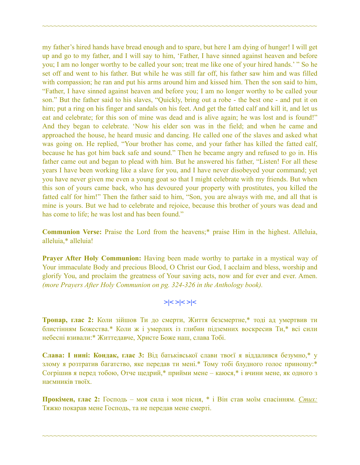my father's hired hands have bread enough and to spare, but here I am dying of hunger! I will get up and go to my father, and I will say to him, 'Father, I have sinned against heaven and before you; I am no longer worthy to be called your son; treat me like one of your hired hands.' " So he set off and went to his father. But while he was still far off, his father saw him and was filled with compassion; he ran and put his arms around him and kissed him. Then the son said to him, "Father, I have sinned against heaven and before you; I am no longer worthy to be called your son." But the father said to his slaves, "Quickly, bring out a robe - the best one - and put it on him; put a ring on his finger and sandals on his feet. And get the fatted calf and kill it, and let us eat and celebrate; for this son of mine was dead and is alive again; he was lost and is found!" And they began to celebrate. 'Now his elder son was in the field; and when he came and approached the house, he heard music and dancing. He called one of the slaves and asked what was going on. He replied, "Your brother has come, and your father has killed the fatted calf, because he has got him back safe and sound." Then he became angry and refused to go in. His father came out and began to plead with him. But he answered his father, "Listen! For all these years I have been working like a slave for you, and I have never disobeyed your command; yet you have never given me even a young goat so that I might celebrate with my friends. But when this son of yours came back, who has devoured your property with prostitutes, you killed the fatted calf for him!" Then the father said to him, "Son, you are always with me, and all that is mine is yours. But we had to celebrate and rejoice, because this brother of yours was dead and has come to life; he was lost and has been found."

~~~~~~~~~~~~~~~~~~~~~~~~~~~~~~~~~~~~~~~~~~~~~~~~~~~~~~~~~~~~~~~~~~~~~~~~

**Communion Verse:** Praise the Lord from the heavens;\* praise Him in the highest. Alleluia, alleluia,\* alleluia!

**Prayer After Holy Communion:** Having been made worthy to partake in a mystical way of Your immaculate Body and precious Blood, O Christ our God, I acclaim and bless, worship and glorify You, and proclaim the greatness of Your saving acts, now and for ever and ever. Amen. *(more Prayers After Holy Communion on pg. 324-326 in the Anthology book).* 

### **>|< >|< >|<**

**Тропар, глас 2:** Коли зійшов Ти до смерти, Життя безсмертне,\* тоді ад умертвив ти блистінням Божества.\* Коли ж і умерлих із глибин підземних воскресив Ти,\* всі сили небесні взивали:\* Життедавче, Христе Боже наш, слава Тобі.

**Слава: І нині: Кондак, глас 3:** Від батьківської слави твоєї я віддалився безумно,\* у злому я розтратив багатство, яке передав ти мені.\* Тому тобі блудного голос приношу:\* Согрішив я перед тобою, Отче щедрий,\* прийми мене – каюся,\* і вчини мене, як одного з наємників твоїх.

**Прокімен, глас 2:** Господь – моя сила і моя пісня, \* і Він став моїм спасінням. *Стих:* Тяжко покарав мене Господь, та не передав мене смерті.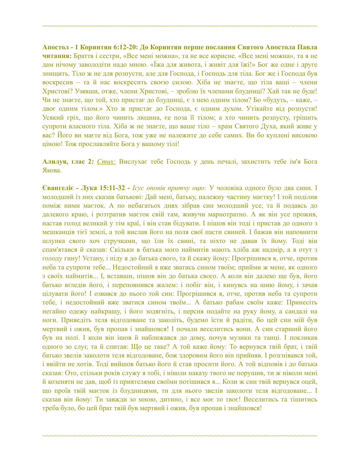**Апостол - 1 Коринтян 6:12-20: До Коринтян перше послання Святого Апостола Павла читання:** Браття і сестри, «Все мені можна», та не все корисне. «Все мені можна», та я не дам нічому заволодіти надо мною. «Їжа для живота, і живіт для їжі!» Бог же одне і друге знищить. Тіло ж не для розпусти, але для Господа, і Господь для тіла. Бог же і Господа був воскресив – та й нас воскресить своєю силою. Хіба не знаєте, що тіла ваші – члени Христові? Узявши, отже, члени Христові, – зроблю їх членами блудниці? Хай так не буде! Чи не знаєте, що той, хто пристає до блудниці, є з нею одним тілом? Бо «будуть, – каже, – двоє одним тілом.» Хто ж пристає до Господа, є одним духом. Утікайте від розпусти! Усякий гріх, що його чинить людина, єе поза її тілом; а хто чинить розпусту, грішить супроти власного тіла. Хіба ж не знаєте, що ваше тіло – храм Святого Духа, який живе у вас? Його ви маєте від Бога, тож уже не належите до себе самих. Ви бо куплені високою ціною! Тож прославляйте Бога у вашому тілі!

~~~~~~~~~~~~~~~~~~~~~~~~~~~~~~~~~~~~~~~~~~~~~~~~~~~~~~~~~~~~~~~~~~~~~~~~

**Алилуя, глас 2:** *Стих:* Вислухає тебе Господь у день печалі, захистить тебе ім'я Бога Якова.

**Євангеліє - Лука 15:11-32 -** *Ісус оповів притчу оцю:* У чоловіка одного було два сини. І молодший із них сказав батькові: Дай мені, батьку, належну частину маєтку! І той поділив поміж ними маєток. А по небагатьох днях зібрав син молодший усе, та й подавсь до далекого краю, і розтратив маєток свій там, живучи марнотратно. А як він усе прожив, настав голод великий у тім краї, і він став бідувати. І пішов він тоді і пристав до одного з мешканців тієї землі, а той вислав його на поля свої пасти свиней. І бажав він наповнити шлунка свого хоч стручками, що їли їх свині, та ніхто не давав їх йому. Тоді він спам'ятався й сказав: Скільки в батька мого наймитів мають хліба аж надмір, а я отут з голоду гину! Устану, і піду я до батька свого, та й скажу йому: Прогрішився я, отче, против неба та супроти тебе... Недостойний я вже зватись сином твоїм; прийми ж мене, як одного з своїх наймитів... І, вставши, пішов він до батька свого. А коли він далеко ще був, його батько вгледів його, і переповнився жалем: і побіг він, і кинувсь на шию йому, і зачав цілувати його! І озвався до нього той син: Прогрішився я, отче, против неба та супроти тебе, і недостойний вже зватися сином твоїм... А батько рабам своїм каже: Принесіть негайно одежу найкращу, і його зодягніть, і персня подайте на руку йому, а сандалі на ноги. Приведіть теля відгодоване та заколіть, будемо їсти й радіти, бо цей син мій був мертвий і ожив, був пропав і знайшовся! І почали веселитись вони. А син старший його був на полі. І коли він ішов й наближався до дому, почув музики та танці. І покликав одного зо слуг, та й спитав: Що це таке? А той каже йому: То вернувся твій брат, і твій батько звелів заколоти теля відгодоване, бож здоровим його він прийняв. І розгнівався той, і ввійти не хотів. Тоді вийшов батько його й став просити його. А той відповів і до батька сказав: Ото, стільки років служу я тобі, і ніколи наказу твого не порушив, ти ж ніколи мені й козеняти не дав, щоб із приятелями своїми потішився я... Коли ж син твій вернувся оцей, що проїв твій маєток із блудницями, ти для нього звелів заколоти теля відгодоване... І сказав він йому: Ти завжди зо мною, дитино, і все моє то твоє! Веселитись та тішитись треба було, бо цей брат твій був мертвий і ожив, був пропав і знайшовся!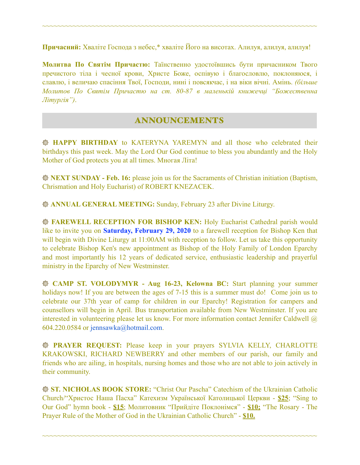**Причасний:** Хваліте Господа з небес,\* хваліте Його на висотах. Алилуя, алилуя, алилуя!

~~~~~~~~~~~~~~~~~~~~~~~~~~~~~~~~~~~~~~~~~~~~~~~~~~~~~~~~~~~~~~~~~~~~~~~~

**Молитва По Святім Причастю:** Таїнственно удостоївшись бути причасником Твого пречистого тіла і чесної крови, Христе Боже, оспівую і благословлю, поклоняюся, і славлю, і величаю спасіння Твої, Господи, нині і повсякчас, і на віки вічні. Амінь. *(більше Молитов По Святім Причастю на ст. 80-87 в маленькій книжечці "Божественна Літургія")*.

## ANNOUNCEMENTS

**HAPPY BIRTHDAY** to KATERYNA YAREMYN and all those who celebrated their birthdays this past week. May the Lord Our God continue to bless you abundantly and the Holy Mother of God protects you at all times. Многая Літа!

**NEXT SUNDAY - Feb. 16:** please join us for the Sacraments of Christian initiation (Baptism, Chrismation and Holy Eucharist) of ROBERT KNEZACEK.

**ANNUAL GENERAL MEETING:** Sunday, February 23 after Divine Liturgy.

**FAREWELL RECEPTION FOR BISHOP KEN:** Holy Eucharist Cathedral parish would like to invite you on **Saturday, February 29, 2020** to a farewell reception for Bishop Ken that will begin with Divine Liturgy at 11:00AM with reception to follow. Let us take this opportunity to celebrate Bishop Ken's new appointment as Bishop of the Holy Family of London Eparchy and most importantly his 12 years of dedicated service, enthusiastic leadership and prayerful ministry in the Eparchy of New Westminster.

 **CAMP ST. VOLODYMYR - Aug 16-23, Kelowna BC:** Start planning your summer holidays now! If you are between the ages of 7-15 this is a summer must do! Come join us to celebrate our 37th year of camp for children in our Eparchy! Registration for campers and counsellors will begin in April. Bus transportation available from New Westminster. If you are interested in volunteering please let us know. For more information contact Jennifer Caldwell @ 604.220.0584 or [jennsawka@hotmail.com](mailto:jennsawka@hotmail.com).

**PRAYER REQUEST:** Please keep in your prayers SYLVIA KELLY, CHARLOTTE KRAKOWSKI, RICHARD NEWBERRY and other members of our parish, our family and friends who are ailing, in hospitals, nursing homes and those who are not able to join actively in their community.

**ST. NICHOLAS BOOK STORE:** "Christ Our Pascha" Catechism of the Ukrainian Catholic Church/"Христос Наша Пасха" Катехизм Української Католицької Церкви - **\$25**; "Sing to Our God" hymn book - **\$15**; Молитовник "Прийдіте Поклонімся" - **\$10;** "The Rosary - The Prayer Rule of the Mother of God in the Ukrainian Catholic Church" - **\$10.**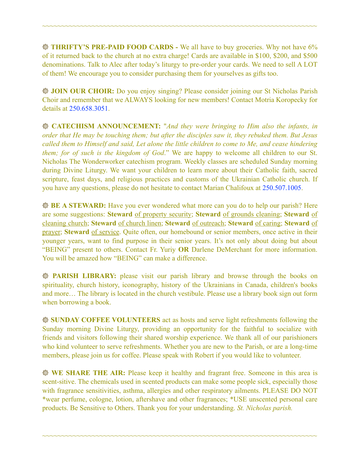**THRIFTY'S PRE-PAID FOOD CARDS -** We all have to buy groceries. Why not have 6% of it returned back to the church at no extra charge! Cards are available in \$100, \$200, and \$500 denominations. Talk to Alec after today's liturgy to pre-order your cards. We need to sell A LOT of them! We encourage you to consider purchasing them for yourselves as gifts too.

~~~~~~~~~~~~~~~~~~~~~~~~~~~~~~~~~~~~~~~~~~~~~~~~~~~~~~~~~~~~~~~~~~~~~~~~

**JOIN OUR CHOIR:** Do you enjoy singing? Please consider joining our St Nicholas Parish Choir and remember that we ALWAYS looking for new members! Contact Motria Koropecky for details at 250.658.3051.

**CATECHISM ANNOUNCEMENT:** "*And they were bringing to Him also the infants, in order that He may be touching them; but after the disciples saw it, they rebuked them. But Jesus called them to Himself and said, Let alone the little children to come to Me, and cease hindering them; for of such is the kingdom of God*." We are happy to welcome all children to our St. Nicholas The Wonderworker catechism program. Weekly classes are scheduled Sunday morning during Divine Liturgy. We want your children to learn more about their Catholic faith, sacred scripture, feast days, and religious practices and customs of the Ukrainian Catholic church. If you have any questions, please do not hesitate to contact Marian Chalifoux at 250.507.1005.

**BE A STEWARD:** Have you ever wondered what more can you do to help our parish? Here are some suggestions: **Steward** of property security; **Steward** of grounds cleaning; **Steward** of cleaning church; **Steward** of church linen; **Steward** of outreach; **Steward** of caring; **Steward** of prayer; **Steward** of service. Quite often, our homebound or senior members, once active in their younger years, want to find purpose in their senior years. It's not only about doing but about "BEING" present to others. Contact Fr. Yuriy **OR** Darlene DeMerchant for more information. You will be amazed how "BEING" can make a difference.

**PARISH LIBRARY:** please visit our parish library and browse through the books on spirituality, church history, iconography, history of the Ukrainians in Canada, children's books and more… The library is located in the church vestibule. Please use a library book sign out form when borrowing a book.

**SUNDAY COFFEE VOLUNTEERS** act as hosts and serve light refreshments following the Sunday morning Divine Liturgy, providing an opportunity for the faithful to socialize with friends and visitors following their shared worship experience. We thank all of our parishioners who kind volunteer to serve refreshments. Whether you are new to the Parish, or are a long-time members, please join us for coffee. Please speak with Robert if you would like to volunteer.

**WE SHARE THE AIR:** Please keep it healthy and fragrant free. Someone in this area is scent-sitive. The chemicals used in scented products can make some people sick, especially those with fragrance sensitivities, asthma, allergies and other respiratory ailments. PLEASE DO NOT \*wear perfume, cologne, lotion, aftershave and other fragrances; \*USE unscented personal care products. Be Sensitive to Others. Thank you for your understanding. *St. Nicholas parish.*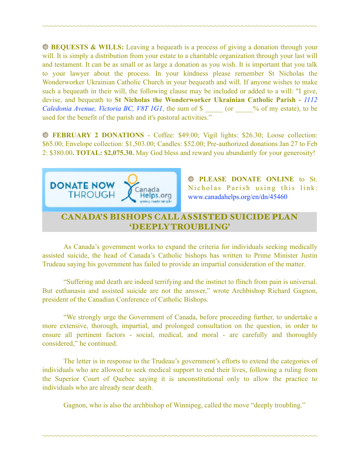**BEQUESTS & WILLS:** Leaving a bequeath is a process of giving a donation through your will. It is simply a distribution from your estate to a charitable organization through your last will and testament. It can be as small or as large a donation as you wish. It is important that you talk to your lawyer about the process. In your kindness please remember St Nicholas the Wonderworker Ukrainian Catholic Church in your bequeath and will. If anyone wishes to make such a bequeath in their will, the following clause may be included or added to a will: "I give, devise, and bequeath to **St Nicholas the Wonderworker Ukrainian Catholic Parish -** *1112 Caledonia Avenue, Victoria BC, V8T 1G1*, the sum of \$  $\degree$  (or  $\degree$  % of my estate), to be used for the benefit of the parish and it's pastoral activities."

~~~~~~~~~~~~~~~~~~~~~~~~~~~~~~~~~~~~~~~~~~~~~~~~~~~~~~~~~~~~~~~~~~~~~~~~

**FEBRUARY 2 DONATIONS** - Coffee: \$49.00; Vigil lights: \$26.30; Loose collection: \$65.00; Envelope collection: \$1,503.00; Candles: \$52.00; Pre-authorized donations Jan 27 to Feb 2: \$380.00**. TOTAL: \$2,075.30.** May God bless and reward you abundantly for your generosity!



**PLEASE DONATE ONLINE** to St. Nicholas Parish using this link: [www.canadahelps.org/en/dn/45460](http://www.canadahelps.org/en/dn/45460)

# CANADA'S BISHOPS CALL ASSISTED SUICIDE PLAN 'DEEPLY TROUBLING'

 As Canada's government works to expand the criteria for individuals seeking medically assisted suicide, the head of Canada's Catholic bishops has written to Prime Minister Justin Trudeau saying his government has failed to provide an impartial consideration of the matter.

 "Suffering and death are indeed terrifying and the instinct to flinch from pain is universal. But euthanasia and assisted suicide are not the answer," wrote Archbishop Richard Gagnon, president of the Canadian Conference of Catholic Bishops.

 "We strongly urge the Government of Canada, before proceeding further, to undertake a more extensive, thorough, impartial, and prolonged consultation on the question, in order to ensure all pertinent factors - social, medical, and moral - are carefully and thoroughly considered," he continued.

 The letter is in response to the Trudeau's government's efforts to extend the categories of individuals who are allowed to seek medical support to end their lives, following a ruling from the Superior Court of Quebec saying it is unconstitutional only to allow the practice to individuals who are already near death.

Gagnon, who is also the archbishop of Winnipeg, called the move "deeply troubling."